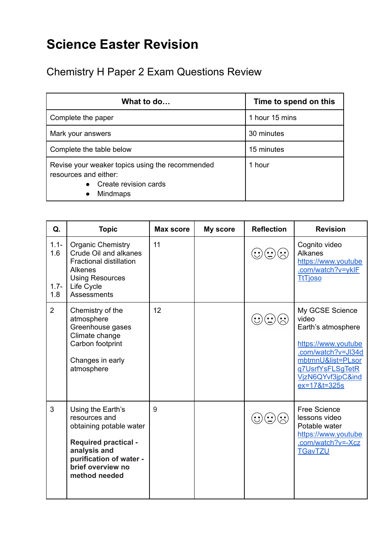## **Science Easter Revision**

Chemistry H Paper 2 Exam Questions Review

| What to do                                                                                                                        | Time to spend on this |  |
|-----------------------------------------------------------------------------------------------------------------------------------|-----------------------|--|
| Complete the paper                                                                                                                | 1 hour 15 mins        |  |
| Mark your answers                                                                                                                 | 30 minutes            |  |
| Complete the table below                                                                                                          | 15 minutes            |  |
| Revise your weaker topics using the recommended<br>resources and either:<br>Create revision cards<br><b>Mindmaps</b><br>$\bullet$ | 1 hour                |  |

| Q.                               | <b>Topic</b>                                                                                                                                                                  | Max score | My score | <b>Reflection</b> | <b>Revision</b>                                                                                                                                                           |
|----------------------------------|-------------------------------------------------------------------------------------------------------------------------------------------------------------------------------|-----------|----------|-------------------|---------------------------------------------------------------------------------------------------------------------------------------------------------------------------|
| $1.1 -$<br>1.6<br>$1.7 -$<br>1.8 | <b>Organic Chemistry</b><br>Crude Oil and alkanes<br><b>Fractional distillation</b><br><b>Alkenes</b><br><b>Using Resources</b><br>Life Cycle<br>Assessments                  | 11        |          |                   | Cognito video<br><b>Alkanes</b><br>https://www.youtube<br>.com/watch?v=yklF<br><b>TtTioso</b>                                                                             |
| $\overline{2}$                   | Chemistry of the<br>atmosphere<br>Greenhouse gases<br>Climate change<br>Carbon footprint<br>Changes in early<br>atmosphere                                                    | 12        |          |                   | My GCSE Science<br>video<br>Earth's atmosphere<br>https://www.youtube<br>.com/watch?v=JI34d<br>mbtmnU&list=PLsor<br>g7UsrfYsFLSgTetR<br>VjzN6QYvf3jpC&ind<br>ex=17&t=325s |
| 3                                | Using the Earth's<br>resources and<br>obtaining potable water<br><b>Required practical -</b><br>analysis and<br>purification of water -<br>brief overview no<br>method needed | 9         |          |                   | <b>Free Science</b><br>lessons video<br>Potable water<br>https://www.youtube<br>.com/watch?v=-Xcz<br><b>TGavTZU</b>                                                       |